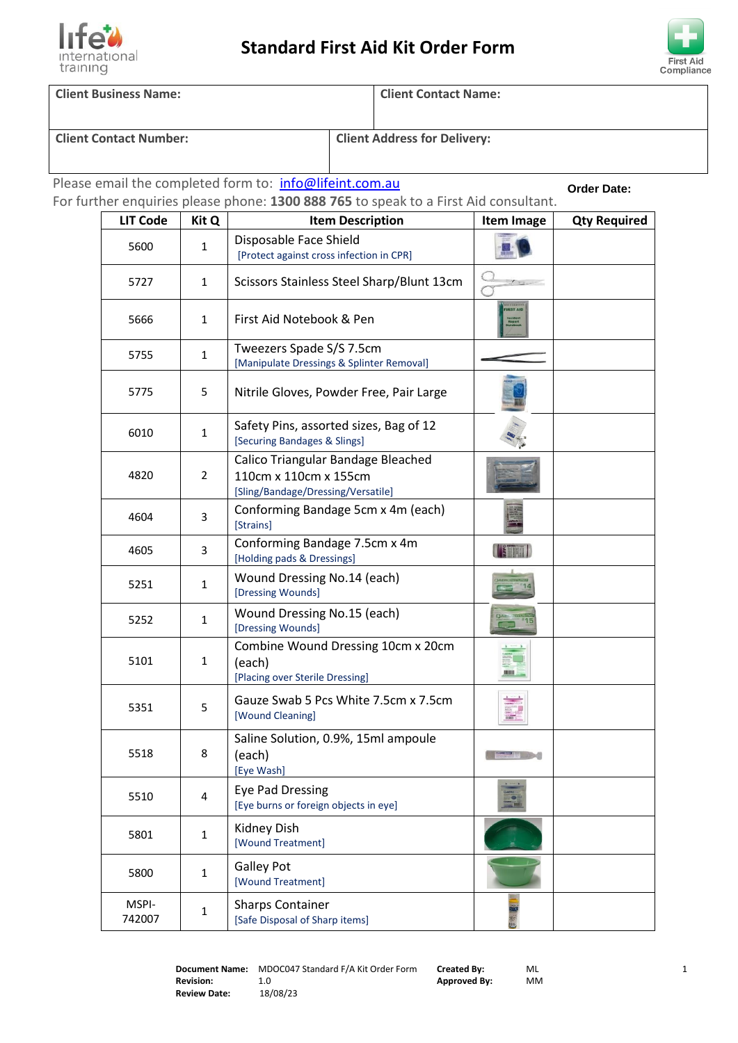



**Client Business Name: Client Contact Name:**

**Client Contact Number: Client Address for Delivery:**

Please email the completed form to: info@lifeint.com.au

**Order Date:**

|                 |              | For further enquiries please phone: 1300 888 765 to speak to a First Aid consultant.              |                                                   | Order Date:         |
|-----------------|--------------|---------------------------------------------------------------------------------------------------|---------------------------------------------------|---------------------|
| <b>LIT Code</b> | Kit Q        | <b>Item Description</b>                                                                           | Item Image                                        | <b>Qty Required</b> |
| 5600            | $\mathbf{1}$ | Disposable Face Shield<br>[Protect against cross infection in CPR]                                |                                                   |                     |
| 5727            | $\mathbf{1}$ | Scissors Stainless Steel Sharp/Blunt 13cm                                                         |                                                   |                     |
| 5666            | 1            | First Aid Notebook & Pen                                                                          | <b>IRST AID</b><br>Incident<br>Report<br>Votebook |                     |
| 5755            | $\mathbf{1}$ | Tweezers Spade S/S 7.5cm<br>[Manipulate Dressings & Splinter Removal]                             |                                                   |                     |
| 5775            | 5            | Nitrile Gloves, Powder Free, Pair Large                                                           |                                                   |                     |
| 6010            | $\mathbf{1}$ | Safety Pins, assorted sizes, Bag of 12<br>[Securing Bandages & Slings]                            |                                                   |                     |
| 4820            | 2            | Calico Triangular Bandage Bleached<br>110cm x 110cm x 155cm<br>[Sling/Bandage/Dressing/Versatile] |                                                   |                     |
| 4604            | 3            | Conforming Bandage 5cm x 4m (each)<br>[Strains]                                                   |                                                   |                     |
| 4605            | 3            | Conforming Bandage 7.5cm x 4m<br>[Holding pads & Dressings]                                       | <b>THE SHOP</b>                                   |                     |
| 5251            | $\mathbf{1}$ | Wound Dressing No.14 (each)<br>[Dressing Wounds]                                                  |                                                   |                     |
| 5252            | $\mathbf{1}$ | Wound Dressing No.15 (each)<br>[Dressing Wounds]                                                  | QAL.<br>15                                        |                     |
| 5101            | $\mathbf{1}$ | Combine Wound Dressing 10cm x 20cm<br>(each)<br>[Placing over Sterile Dressing]                   | 眼目                                                |                     |
| 5351            | 5            | Gauze Swab 5 Pcs White 7.5cm x 7.5cm<br>[Wound Cleaning]                                          | <b>THEFT</b>                                      |                     |
| 5518            | 8            | Saline Solution, 0.9%, 15ml ampoule<br>(each)<br>[Eye Wash]                                       | <b>DAMPS VITE</b>                                 |                     |
| 5510            | 4            | <b>Eye Pad Dressing</b><br>[Eye burns or foreign objects in eye]                                  |                                                   |                     |
| 5801            | $\mathbf{1}$ | Kidney Dish<br>[Wound Treatment]                                                                  |                                                   |                     |
| 5800            | $\mathbf{1}$ | <b>Galley Pot</b><br>[Wound Treatment]                                                            |                                                   |                     |
| MSPI-<br>742007 | $\mathbf{1}$ | <b>Sharps Container</b><br>[Safe Disposal of Sharp items]                                         |                                                   |                     |

家